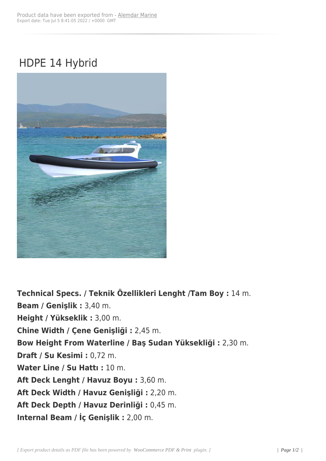## HDPE 14 Hybrid



**Technical Specs. / Teknik Özellikleri Lenght /Tam Boy :** 14 m. **Beam / Genişlik :** 3,40 m. **Height / Yükseklik :** 3,00 m. **Chine Width / Çene Genişliği :** 2,45 m. **Bow Height From Waterline / Baş Sudan Yüksekliği :** 2,30 m. **Draft / Su Kesimi :** 0,72 m. **Water Line / Su Hattı :** 10 m. **Aft Deck Lenght / Havuz Boyu :** 3,60 m. **Aft Deck Width / Havuz Genişliği :** 2,20 m. **Aft Deck Depth / Havuz Derinliği :** 0,45 m. **Internal Beam / İç Genişlik :** 2,00 m.